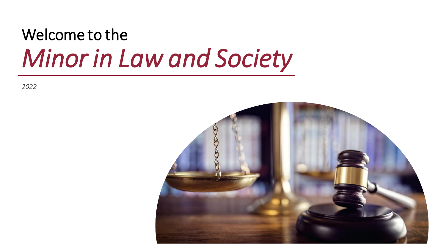# Welcome to the *Minor in Law and Society*

*2022*

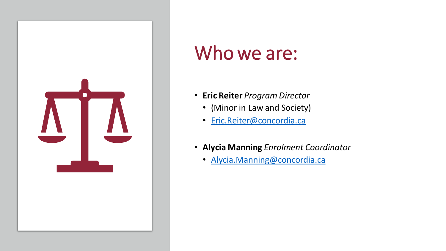

# Who we are:

- **Eric Reiter** *Program Director*
	- (Minor in Law and Society)
	- [Eric.Reiter@concordia.ca](mailto:Eric.Reiter@concordia.ca)
- **Alycia Manning** *Enrolment Coordinator* 
	- [Alycia.Manning@concordia.ca](mailto:Alycia.Manning@concordia.ca)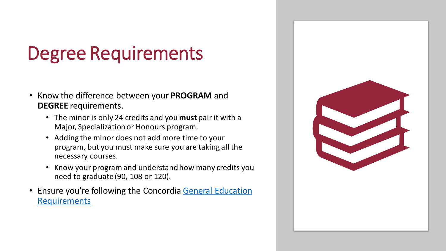# Degree Requirements

- Know the difference between your **PROGRAM** and **DEGREE** requirements.
	- The minor is only 24 credits and you **must** pair it with a Major, Specialization or Honours program.
	- Adding the minor does not add more time to your program, but you must make sure you are taking all the necessary courses.
	- Know your program and understand how many credits you need to graduate (90, 108 or 120).
- [Ensure you're following the Concordia](https://www.concordia.ca/artsci/history/programs/undergraduate/requirements.html) General Education **Requirements**

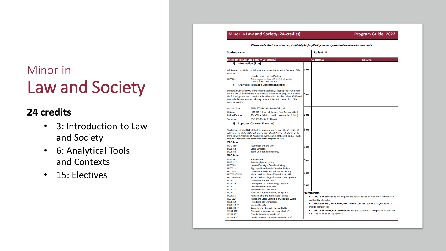## Minor in Law and Society

## **24 credits**

- 3: Introduction to Law and Society
- 6: Analytical Tools and Contexts
- 15: Electives

#### Minor in Law and Society (24-credits)

**Program Guide: 2022** 

Please note that it is your responsibility to fulfill all your program and degree requirements:

| <b>Student Name:</b>                                                                                                                                                                                                                                                                                                                                                                                |                                                                                                                              |                                                                              | <b>Student I.D.:</b>                                                                                           |                |  |  |
|-----------------------------------------------------------------------------------------------------------------------------------------------------------------------------------------------------------------------------------------------------------------------------------------------------------------------------------------------------------------------------------------------------|------------------------------------------------------------------------------------------------------------------------------|------------------------------------------------------------------------------|----------------------------------------------------------------------------------------------------------------|----------------|--|--|
|                                                                                                                                                                                                                                                                                                                                                                                                     | <b>BA Minor in Law and Society (24 credits)</b>                                                                              |                                                                              | <b>Completed</b>                                                                                               | <b>Missing</b> |  |  |
| Introduction (3 crs):<br>1)                                                                                                                                                                                                                                                                                                                                                                         |                                                                                                                              |                                                                              |                                                                                                                |                |  |  |
| All students must take the following course, preferably in the first year of the<br>program:                                                                                                                                                                                                                                                                                                        |                                                                                                                              | 3 crs                                                                        |                                                                                                                |                |  |  |
|                                                                                                                                                                                                                                                                                                                                                                                                     | Introduction to Law and Society                                                                                              |                                                                              |                                                                                                                |                |  |  |
| <b>HIST 285</b>                                                                                                                                                                                                                                                                                                                                                                                     | This course is cross listed with the following units:<br>POLI 285 <sup>1</sup> /ANTH 285 <sup>1</sup> /SOCI 285 <sup>1</sup> |                                                                              |                                                                                                                |                |  |  |
| 2)                                                                                                                                                                                                                                                                                                                                                                                                  |                                                                                                                              |                                                                              |                                                                                                                |                |  |  |
| <b>Analytical Tools and Contexts (6 credits):</b><br>Students must take TWO of the following courses, selecting one course from<br>each of two of the following units. Students whose major program is in one of<br>the following units must draw from the other units. Another relevant 200-level<br>course in these or another unit may be substituted with permission of the<br>program advisor. |                                                                                                                              | 3 crs                                                                        |                                                                                                                |                |  |  |
| Anthropology:                                                                                                                                                                                                                                                                                                                                                                                       | <b>ANTH 202<sup>®</sup></b> (Introduction to Culture)                                                                        |                                                                              |                                                                                                                |                |  |  |
| History:                                                                                                                                                                                                                                                                                                                                                                                            | HIST 205 (History of Canada, Post-Confederation)                                                                             |                                                                              |                                                                                                                |                |  |  |
| <b>Political Science:</b>                                                                                                                                                                                                                                                                                                                                                                           | POLI/SCPA 204 (Introduction to Canadian Politics)                                                                            | 3 crs                                                                        |                                                                                                                |                |  |  |
| Sociology:                                                                                                                                                                                                                                                                                                                                                                                          | SOCI 261 (Social Problems)                                                                                                   |                                                                              |                                                                                                                |                |  |  |
| 3)<br><b>Approved Courses (15 credits):</b><br>Students must take FIVE of the following courses, no more than 3 credits of                                                                                                                                                                                                                                                                          |                                                                                                                              | 3 crs                                                                        |                                                                                                                |                |  |  |
|                                                                                                                                                                                                                                                                                                                                                                                                     | which may be at the 200-level, and no more than 12 credits of which may be                                                   |                                                                              |                                                                                                                |                |  |  |
| from any one department. Another relevant course (at the 300- or 400- level)<br>may be substituted with permission of the program advisor.                                                                                                                                                                                                                                                          |                                                                                                                              |                                                                              |                                                                                                                |                |  |  |
| 200-level:                                                                                                                                                                                                                                                                                                                                                                                          |                                                                                                                              |                                                                              |                                                                                                                |                |  |  |
| <b>PSYC 242</b>                                                                                                                                                                                                                                                                                                                                                                                     |                                                                                                                              |                                                                              |                                                                                                                |                |  |  |
| <b>SOCI 262</b>                                                                                                                                                                                                                                                                                                                                                                                     | Psychology and the Law<br><b>Social Deviance</b>                                                                             | 3 crs                                                                        |                                                                                                                |                |  |  |
| <b>SOCI 263</b>                                                                                                                                                                                                                                                                                                                                                                                     | <b>Youth Crime and Delinguency</b>                                                                                           |                                                                              |                                                                                                                |                |  |  |
| 300-level:                                                                                                                                                                                                                                                                                                                                                                                          |                                                                                                                              |                                                                              |                                                                                                                |                |  |  |
| <b>FPST 301-</b>                                                                                                                                                                                                                                                                                                                                                                                    | <b>The Indian Act</b>                                                                                                        |                                                                              |                                                                                                                |                |  |  |
| <b>FPST 321<sup>1</sup></b>                                                                                                                                                                                                                                                                                                                                                                         | <b>First Peoples and Justice</b>                                                                                             | 3 crs                                                                        |                                                                                                                |                |  |  |
| <b>HIST 309-</b>                                                                                                                                                                                                                                                                                                                                                                                    | Law and Society in Canadian History                                                                                          |                                                                              |                                                                                                                |                |  |  |
| <b>HIST 315<sup>*</sup></b>                                                                                                                                                                                                                                                                                                                                                                         | <b>Rights and Freedoms in Canadian Society</b>                                                                               |                                                                              |                                                                                                                |                |  |  |
| <b>HIST 339<sup>3</sup></b>                                                                                                                                                                                                                                                                                                                                                                         | Crime and Punishment in Canadian History*                                                                                    | 3 crs                                                                        |                                                                                                                |                |  |  |
| <b>HIST 359/W800366</b>                                                                                                                                                                                                                                                                                                                                                                             | History and Sociology of Genocide to 1945                                                                                    |                                                                              |                                                                                                                |                |  |  |
| HIST 360VSOG367<br><b>POLI 311</b>                                                                                                                                                                                                                                                                                                                                                                  | History and Sociology of Genocide 1945-present<br><b>International Public Law</b>                                            |                                                                              |                                                                                                                |                |  |  |
| <b>POLI 320</b>                                                                                                                                                                                                                                                                                                                                                                                     | Development of Western Legal Systems                                                                                         |                                                                              |                                                                                                                |                |  |  |
| <b>POLI 321<sup>3</sup></b>                                                                                                                                                                                                                                                                                                                                                                         | Canadian and Quebec Law*                                                                                                     | 3 crs                                                                        |                                                                                                                |                |  |  |
| <b>POLI 324<sup>3</sup></b>                                                                                                                                                                                                                                                                                                                                                                         | Parliament and the Charter*                                                                                                  |                                                                              |                                                                                                                |                |  |  |
| <b>POLI 328<sup>3</sup></b>                                                                                                                                                                                                                                                                                                                                                                         | <b>Public Policy and the Politics of Equality</b>                                                                            |                                                                              | <b>Prerequisites:</b>                                                                                          |                |  |  |
| <b>POLI 388</b>                                                                                                                                                                                                                                                                                                                                                                                     | <b>Human Rights and International Justice</b>                                                                                | 200-level courses do not require pre-requisites to be waived, it is based on |                                                                                                                |                |  |  |
| <b>RELI 312</b>                                                                                                                                                                                                                                                                                                                                                                                     | Justice and Social Conflict in a Globalized World                                                                            | availability of seats;                                                       |                                                                                                                |                |  |  |
| <b>SOCI 362</b>                                                                                                                                                                                                                                                                                                                                                                                     | <b>Introduction to Criminology</b>                                                                                           | 300-level HIST, POLI, FPST, RELI, WSDB courses require that you have 24      |                                                                                                                |                |  |  |
| <b>SOCI 363</b> HAMM                                                                                                                                                                                                                                                                                                                                                                                | <b>Law and Society</b>                                                                                                       |                                                                              | credits completed;                                                                                             |                |  |  |
| <b>SOCI 380NNTH</b>                                                                                                                                                                                                                                                                                                                                                                                 | <b>Contemporary Issues in Human Rights</b>                                                                                   |                                                                              |                                                                                                                |                |  |  |
|                                                                                                                                                                                                                                                                                                                                                                                                     | <b>WSDB 300<sup>*</sup></b><br>Feminist Perspectives on Human Rights*                                                        |                                                                              | 300-level ANTH, SOCI courses require you to have 30 completed credits and<br>HIST 285 finished or in progress. |                |  |  |
| WSDB 301 <sup>*</sup><br><b>WSDB 400</b>                                                                                                                                                                                                                                                                                                                                                            | Canada, Colonization and Law*                                                                                                |                                                                              |                                                                                                                |                |  |  |
|                                                                                                                                                                                                                                                                                                                                                                                                     | Gender Justice in Canadian Law and Policy*                                                                                   |                                                                              |                                                                                                                |                |  |  |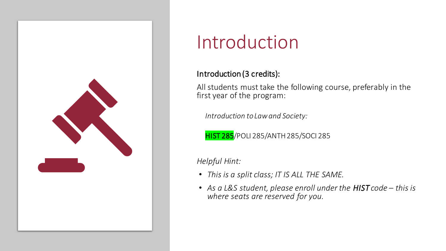

# Introduction

### Introduction (3 credits):

All students must take the following course, preferably in the first year of the program:

*Introduction to Law and Society:* 

**HIST 285**/POLI 285/ANTH 285/SOCI 285

*Helpful Hint:*

- *This is a split class; IT IS ALL THE SAME.*
- As a L&S student, please enroll under the HIST code this is *where seats are reserved for you.*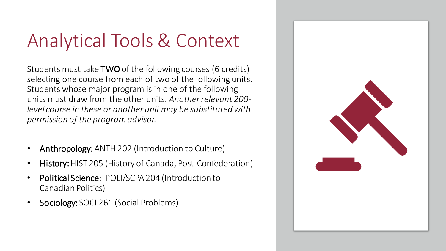# Analytical Tools & Context

Students must take TWO of the following courses (6 credits) selecting one course from each of two of the following units. Students whose major program is in one of the following units must draw from the other units. *Another relevant 200 level course in these or another unit may be substituted with permission of the program advisor.* 

- Anthropology: ANTH 202 (Introduction to Culture)
- History: HIST 205 (History of Canada, Post-Confederation)
- Political Science: POLI/SCPA 204 (Introduction to Canadian Politics)
- Sociology: SOCI 261 (Social Problems)

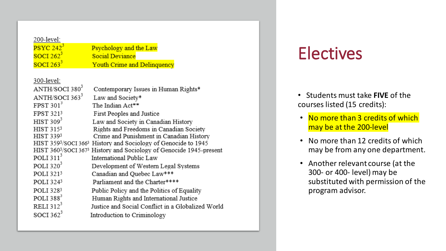| 200-level:                 |                                                                                        |
|----------------------------|----------------------------------------------------------------------------------------|
| ${\rm PSYC}~242^3$         | Psychology and the Law                                                                 |
| SOCI 262 <sup>3</sup>      | <b>Social Deviance</b>                                                                 |
| SOCI 263 <sup>3</sup>      | Youth Crime and Delinquency                                                            |
|                            |                                                                                        |
| 300-level:                 |                                                                                        |
| ANTH/SOCI 380 <sup>3</sup> | Contemporary Issues in Human Rights*                                                   |
| ANTH/SOCI 363 <sup>3</sup> | Law and Society*                                                                       |
| FPST 3013                  | The Indian Act**                                                                       |
| FPST 321 <sup>3</sup>      | First Peoples and Justice                                                              |
| HIST $309^3$               | Law and Society in Canadian History                                                    |
| HIST 315 <sup>3</sup>      | Rights and Freedoms in Canadian Society                                                |
| HIST 3393                  | Crime and Punishment in Canadian History                                               |
|                            | HIST 359 <sup>3</sup> /SOCI 366 <sup>3</sup> History and Sociology of Genocide to 1945 |
|                            | HIST 3603/SOCI 3673 History and Sociology of Genocide 1945-present                     |
| POLI $311^3$               | International Public Law                                                               |
| POLI $320^3$               | Development of Western Legal Systems                                                   |
| POLI 3213                  | Canadian and Quebec Law***                                                             |
| POLI 3243                  | Parliament and the Charter****                                                         |
| POLI 3283                  | Public Policy and the Politics of Equality                                             |
| POLI 388 <sup>3</sup>      | Human Rights and International Justice                                                 |
| RELI $312^3$               | Justice and Social Conflict in a Globalized World                                      |
| SOCI 362 <sup>3</sup>      | Introduction to Criminology                                                            |
|                            |                                                                                        |

## **Electives**

- Students must take **FIVE** of the courses listed (15 credits):
- No more than 3 credits of which may be at the 200-level
- No more than 12 credits of which may be from any one department.
- Another relevant course (at the 300- or 400- level) may be substituted with permission of the program advisor.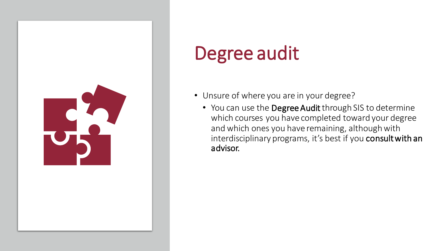

# Degree audit

- Unsure of where you are in your degree?
	- You can use the Degree Audit through SIS to determine which courses you have completed toward your degree and which ones you have remaining, although with interdisciplinary programs, it's best if you consult with an advisor.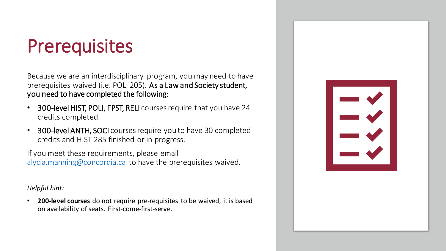# **Prerequisites**

Because we are an interdisciplinary program, you may need to have prerequisites waived (i.e. POLI 205). As a Law and Society student, you need to have completed the following:

- 300-level HIST, POLI, FPST, RELI courses require that you have 24 credits completed.
- 300-level ANTH, SOCI courses require you to have 30 completed credits and HIST 285 finished or in progress.

If you meet these requirements, please email [alycia.manning@concordia.ca](mailto:alycia.manning@concordia.ca) to have the prerequisites waived.

*Helpful hint:*

• **200-level courses** do not require pre-requisites to be waived, it is based on availability of seats. First-come-first-serve.

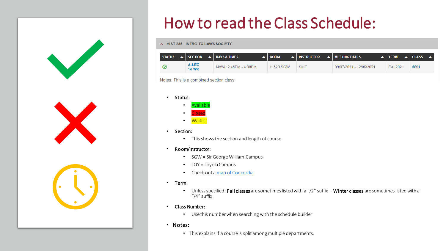## How to read the Class Schedule:

#### A HIST 285 - INTRO TO LAW& SOCIETY

| <b>STATUS</b> | $\triangle$ SECTION $\triangle$ DAYS & TIMES |                      | <b>ROOM</b>      | $\blacktriangle$   INSTRUCTOR | $\blacktriangle$   MEETING DATES | $\blacktriangle$ iterm | $\triangle$ CLASS<br><b>A</b> |
|---------------|----------------------------------------------|----------------------|------------------|-------------------------------|----------------------------------|------------------------|-------------------------------|
|               | A-LEC<br><b>13 Wk</b>                        | MoWe 2:45PM - 4:00PM | <b>H 520 SGW</b> | <b>Staff</b>                  | 09/07/2021 - 12/06/2021          | Fall 2021              | 5891                          |

Notes: This is a combined section class

• Status:



- Section:
	- This shows the section and length of course
- Room/Instructor:
	- SGW = Sir George William Campus
	- LOY = Loyola Campus
	- Check out a [map of Concordia](https://www.concordia.ca/maps/sgw-campus.html)
- Term:
	- Unless specified: Fall classes are sometimes listed with a "/2" suffix Winter classes are sometimes listed with a "/4" suffix
- Class Number:
	- Use this number when searching with the schedule builder
- Notes:
	- This explains if a course is split among multiple departments.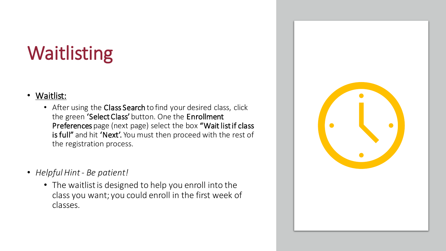# Waitlisting

### • Waitlist:

- After using the Class Search to find your desired class, click the green 'Select Class' button. One the Enrollment Preferences page (next page) select the box "Wait list if class is full" and hit 'Next'. You must then proceed with the rest of the registration process.
- *Helpful Hint - Be patient!*
	- The waitlist is designed to help you enroll into the class you want; you could enroll in the first week of classes.

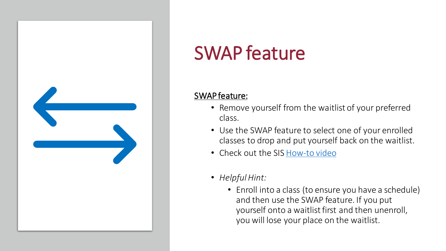

# SWAP feature

### SWAP feature:

- Remove yourself from the waitlist of your preferred class.
- Use the SWAP feature to select one of your enrolled classes to drop and put yourself back on the waitlist.
- Check out the SIS [How-to video](https://www.concordia.ca/students/your-sis/swap-a-course.html)
- *Helpful Hint:*
	- Enroll into a class (to ensure you have a schedule) and then use the SWAP feature. If you put yourself onto a waitlist first and then unenroll, you will lose your place on the waitlist.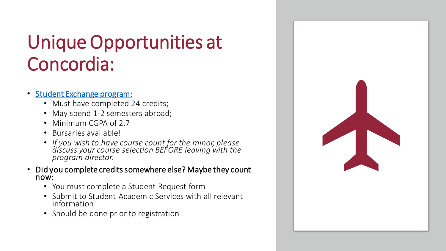# Unique Opportunities at Concordia:

- [Student Exchange program:](https://www.concordia.ca/students/exchanges/csep.html)
	- Must have completed 24 credits;
	- May spend 1-2 semesters abroad;
	- Minimum CGPA of 2.7
	- Bursaries available!
	- *If you wish to have course count for the minor, please discuss your course selection BEFORE leaving with the program director.*
- Did you complete credits somewhere else? Maybe they count now:
	- You must complete a Student Request form
	- Submit to Student Academic Services with all relevant information
	- Should be done prior to registration

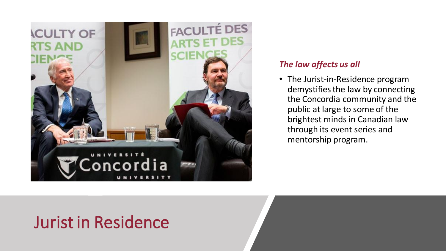

### *The law affects us all*

• The Jurist-in-Residence program demystifies the law by connecting the Concordia community and the public at large to some of the brightest minds in Canadian law through its event series and mentorship program.

## Jurist in Residence